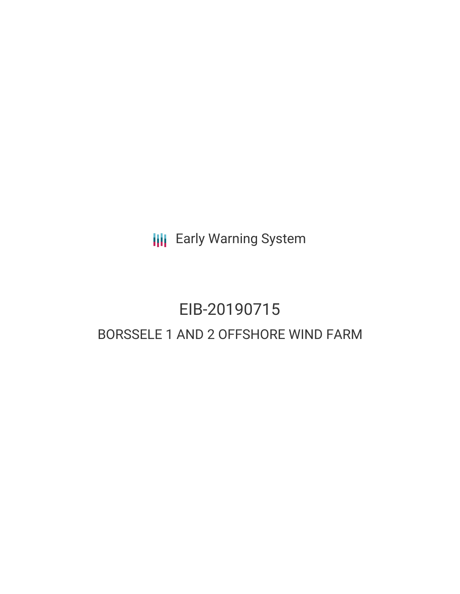**III** Early Warning System

# EIB-20190715 BORSSELE 1 AND 2 OFFSHORE WIND FARM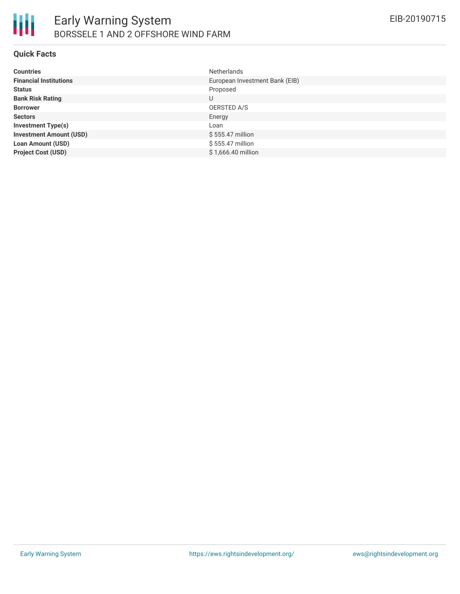

#### **Quick Facts**

| <b>Countries</b>               | <b>Netherlands</b>             |
|--------------------------------|--------------------------------|
| <b>Financial Institutions</b>  | European Investment Bank (EIB) |
| <b>Status</b>                  | Proposed                       |
| <b>Bank Risk Rating</b>        | U                              |
| <b>Borrower</b>                | OERSTED A/S                    |
| <b>Sectors</b>                 | Energy                         |
| <b>Investment Type(s)</b>      | Loan                           |
| <b>Investment Amount (USD)</b> | $$555.47$ million              |
| <b>Loan Amount (USD)</b>       | \$555.47 million               |
| <b>Project Cost (USD)</b>      | \$1,666.40 million             |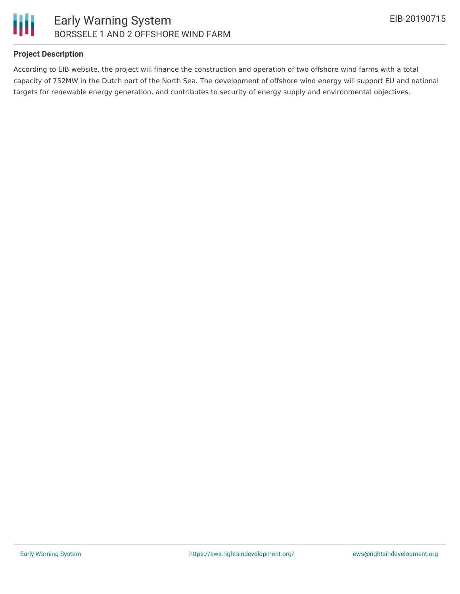

#### **Project Description**

According to EIB website, the project will finance the construction and operation of two offshore wind farms with a total capacity of 752MW in the Dutch part of the North Sea. The development of offshore wind energy will support EU and national targets for renewable energy generation, and contributes to security of energy supply and environmental objectives.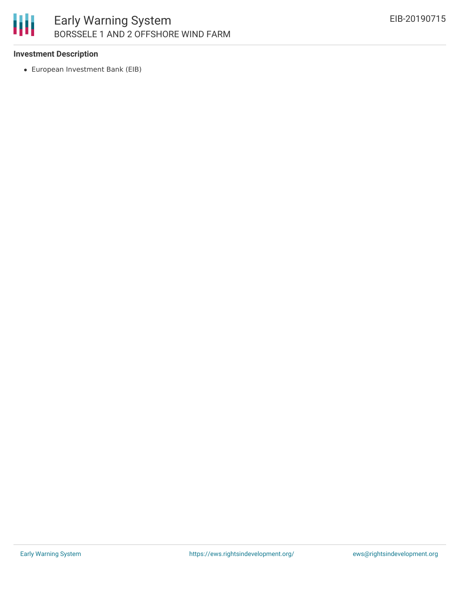# 朋 Early Warning System BORSSELE 1 AND 2 OFFSHORE WIND FARM

#### **Investment Description**

European Investment Bank (EIB)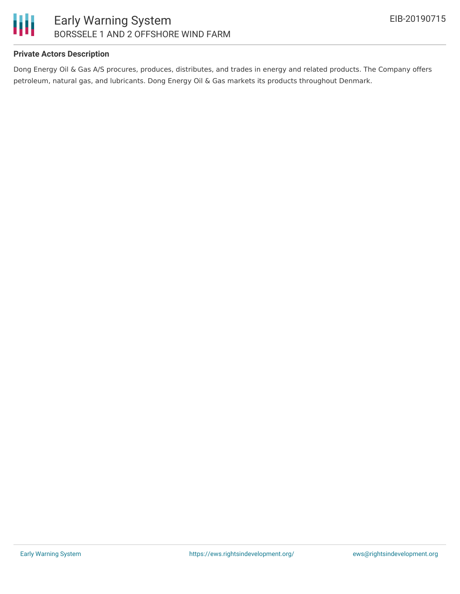

## **Private Actors Description**

Dong Energy Oil & Gas A/S procures, produces, distributes, and trades in energy and related products. The Company offers petroleum, natural gas, and lubricants. Dong Energy Oil & Gas markets its products throughout Denmark.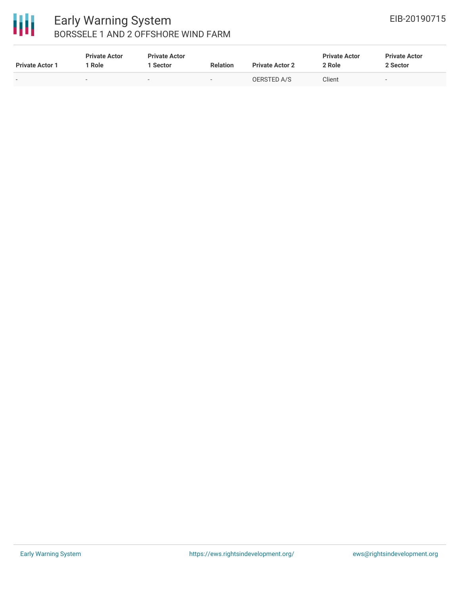

# Early Warning System BORSSELE 1 AND 2 OFFSHORE WIND FARM

| <b>Private Actor 1</b> | <b>Private Actor</b><br>Role | <b>Private Actor</b><br>Sector | <b>Relation</b> | <b>Private Actor 2</b> | <b>Private Actor</b><br>2 Role | <b>Private Actor</b><br>2 Sector |
|------------------------|------------------------------|--------------------------------|-----------------|------------------------|--------------------------------|----------------------------------|
|                        |                              | $\overline{\phantom{a}}$       | $\sim$          | OERSTED A/S            | Client                         | . .                              |